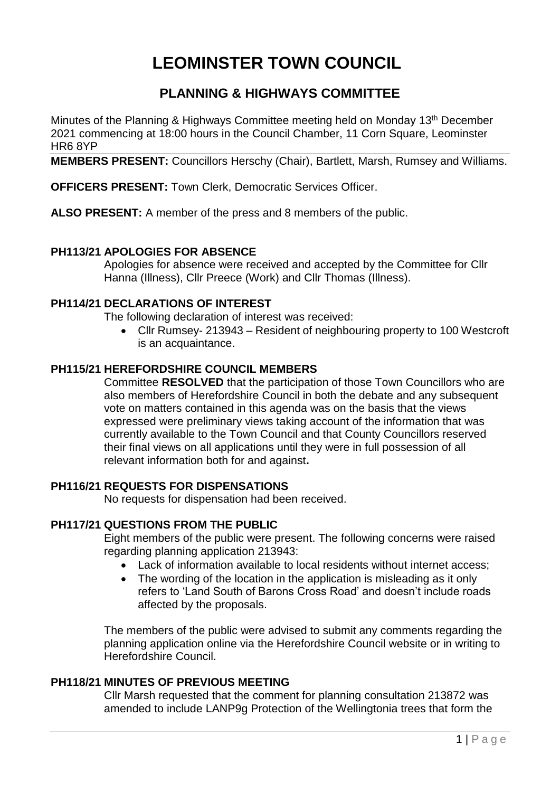# **LEOMINSTER TOWN COUNCIL**

# **PLANNING & HIGHWAYS COMMITTEE**

Minutes of the Planning & Highways Committee meeting held on Monday 13<sup>th</sup> December 2021 commencing at 18:00 hours in the Council Chamber, 11 Corn Square, Leominster HR6 8YP

**MEMBERS PRESENT:** Councillors Herschy (Chair), Bartlett, Marsh, Rumsey and Williams.

**OFFICERS PRESENT:** Town Clerk, Democratic Services Officer.

**ALSO PRESENT:** A member of the press and 8 members of the public.

# **PH113/21 APOLOGIES FOR ABSENCE**

Apologies for absence were received and accepted by the Committee for Cllr Hanna (Illness), Cllr Preece (Work) and Cllr Thomas (Illness).

# **PH114/21 DECLARATIONS OF INTEREST**

The following declaration of interest was received:

 Cllr Rumsey- 213943 – Resident of neighbouring property to 100 Westcroft is an acquaintance.

# **PH115/21 HEREFORDSHIRE COUNCIL MEMBERS**

Committee **RESOLVED** that the participation of those Town Councillors who are also members of Herefordshire Council in both the debate and any subsequent vote on matters contained in this agenda was on the basis that the views expressed were preliminary views taking account of the information that was currently available to the Town Council and that County Councillors reserved their final views on all applications until they were in full possession of all relevant information both for and against**.**

# **PH116/21 REQUESTS FOR DISPENSATIONS**

No requests for dispensation had been received.

# **PH117/21 QUESTIONS FROM THE PUBLIC**

Eight members of the public were present. The following concerns were raised regarding planning application 213943:

- Lack of information available to local residents without internet access;
- The wording of the location in the application is misleading as it only refers to 'Land South of Barons Cross Road' and doesn't include roads affected by the proposals.

The members of the public were advised to submit any comments regarding the planning application online via the Herefordshire Council website or in writing to Herefordshire Council.

# **PH118/21 MINUTES OF PREVIOUS MEETING**

Cllr Marsh requested that the comment for planning consultation 213872 was amended to include LANP9g Protection of the Wellingtonia trees that form the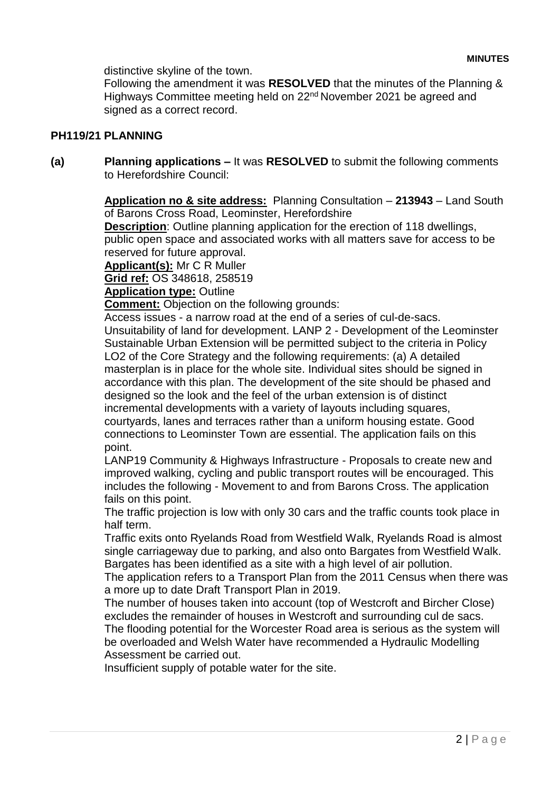distinctive skyline of the town.

Following the amendment it was **RESOLVED** that the minutes of the Planning & Highways Committee meeting held on 22<sup>nd</sup> November 2021 be agreed and signed as a correct record.

# **PH119/21 PLANNING**

**(a) Planning applications –** It was **RESOLVED** to submit the following comments to Herefordshire Council:

> **Application no & site address:** Planning Consultation – **213943** – Land South of Barons Cross Road, Leominster, Herefordshire

**Description**: Outline planning application for the erection of 118 dwellings, public open space and associated works with all matters save for access to be reserved for future approval.

**Applicant(s):** Mr C R Muller

**Grid ref:** OS 348618, 258519

**Application type:** Outline

**Comment:** Objection on the following grounds:

Access issues - a narrow road at the end of a series of cul-de-sacs. Unsuitability of land for development. LANP 2 - Development of the Leominster Sustainable Urban Extension will be permitted subject to the criteria in Policy LO2 of the Core Strategy and the following requirements: (a) A detailed masterplan is in place for the whole site. Individual sites should be signed in accordance with this plan. The development of the site should be phased and designed so the look and the feel of the urban extension is of distinct incremental developments with a variety of layouts including squares, courtyards, lanes and terraces rather than a uniform housing estate. Good connections to Leominster Town are essential. The application fails on this point.

LANP19 Community & Highways Infrastructure - Proposals to create new and improved walking, cycling and public transport routes will be encouraged. This includes the following - Movement to and from Barons Cross. The application fails on this point.

The traffic projection is low with only 30 cars and the traffic counts took place in half term.

Traffic exits onto Ryelands Road from Westfield Walk, Ryelands Road is almost single carriageway due to parking, and also onto Bargates from Westfield Walk. Bargates has been identified as a site with a high level of air pollution.

The application refers to a Transport Plan from the 2011 Census when there was a more up to date Draft Transport Plan in 2019.

The number of houses taken into account (top of Westcroft and Bircher Close) excludes the remainder of houses in Westcroft and surrounding cul de sacs. The flooding potential for the Worcester Road area is serious as the system will be overloaded and Welsh Water have recommended a Hydraulic Modelling Assessment be carried out.

Insufficient supply of potable water for the site.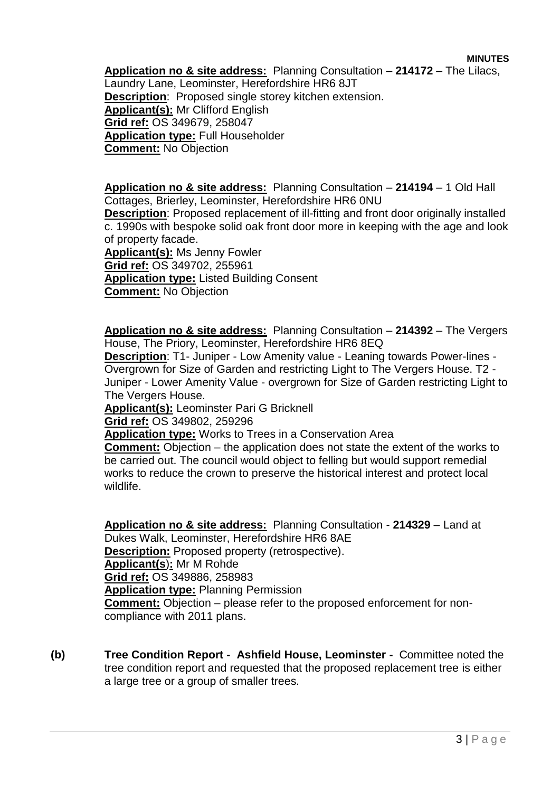**MINUTES**

**Application no & site address:** Planning Consultation – **214172** – The Lilacs, Laundry Lane, Leominster, Herefordshire HR6 8JT **Description**: Proposed single storey kitchen extension. **Applicant(s):** Mr Clifford English **Grid ref:** OS 349679, 258047 **Application type:** Full Householder **Comment:** No Objection

**Application no & site address:** Planning Consultation – **214194** – 1 Old Hall Cottages, Brierley, Leominster, Herefordshire HR6 0NU **Description**: Proposed replacement of ill-fitting and front door originally installed c. 1990s with bespoke solid oak front door more in keeping with the age and look of property facade. **Applicant(s):** Ms Jenny Fowler **Grid ref:** OS 349702, 255961

**Application type:** Listed Building Consent **Comment:** No Objection

**Application no & site address:** Planning Consultation – **214392** – The Vergers House, The Priory, Leominster, Herefordshire HR6 8EQ

**Description**: T1- Juniper - Low Amenity value - Leaning towards Power-lines - Overgrown for Size of Garden and restricting Light to The Vergers House. T2 - Juniper - Lower Amenity Value - overgrown for Size of Garden restricting Light to The Vergers House.

**Applicant(s):** Leominster Pari G Bricknell

**Grid ref:** OS 349802, 259296

**Application type:** Works to Trees in a Conservation Area

**Comment:** Objection – the application does not state the extent of the works to be carried out. The council would object to felling but would support remedial works to reduce the crown to preserve the historical interest and protect local wildlife.

**Application no & site address:** Planning Consultation - **214329** – Land at Dukes Walk, Leominster, Herefordshire HR6 8AE **Description:** Proposed property (retrospective). **Applicant(s**)**:** Mr M Rohde **Grid ref:** OS 349886, 258983 **Application type:** Planning Permission **Comment:** Objection – please refer to the proposed enforcement for noncompliance with 2011 plans.

**(b) Tree Condition Report - Ashfield House, Leominster -** Committee noted the tree condition report and requested that the proposed replacement tree is either a large tree or a group of smaller trees.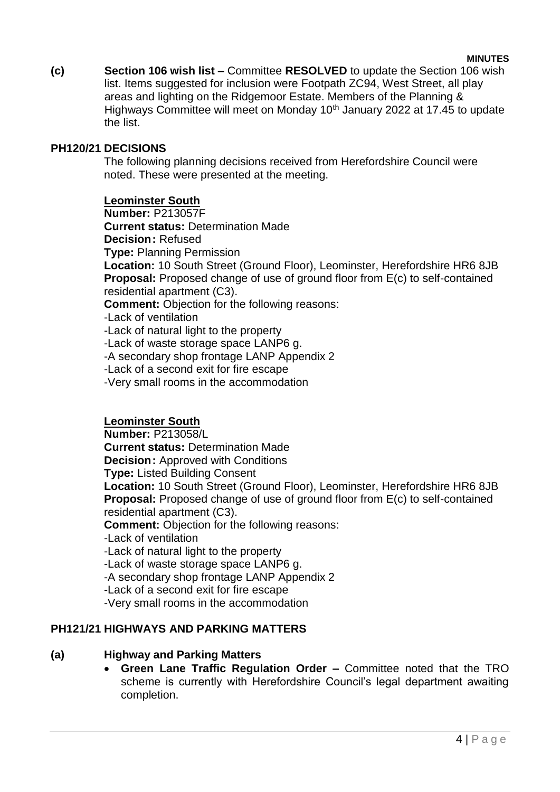#### **MINUTES**

**(c) Section 106 wish list –** Committee **RESOLVED** to update the Section 106 wish list. Items suggested for inclusion were Footpath ZC94, West Street, all play areas and lighting on the Ridgemoor Estate. Members of the Planning & Highways Committee will meet on Monday 10<sup>th</sup> January 2022 at 17.45 to update the list.

# **PH120/21 DECISIONS**

The following planning decisions received from Herefordshire Council were noted. These were presented at the meeting.

# **Leominster South**

**Number:** P213057F **Current status:** Determination Made **Decision:** Refused **Type:** Planning Permission **Location:** 10 South Street (Ground Floor), Leominster, Herefordshire HR6 8JB **Proposal:** Proposed change of use of ground floor from E(c) to self-contained residential apartment (C3). **Comment:** Objection for the following reasons: -Lack of ventilation -Lack of natural light to the property -Lack of waste storage space LANP6 g. -A secondary shop frontage LANP Appendix 2 -Lack of a second exit for fire escape -Very small rooms in the accommodation

**Leominster South**

**Number:** P213058/L **Current status:** Determination Made **Decision:** Approved with Conditions **Type:** Listed Building Consent **Location:** 10 South Street (Ground Floor), Leominster, Herefordshire HR6 8JB **Proposal:** Proposed change of use of ground floor from E(c) to self-contained residential apartment (C3). **Comment:** Objection for the following reasons: -Lack of ventilation -Lack of natural light to the property -Lack of waste storage space LANP6 g. -A secondary shop frontage LANP Appendix 2 -Lack of a second exit for fire escape -Very small rooms in the accommodation

# **PH121/21 HIGHWAYS AND PARKING MATTERS**

#### **(a) Highway and Parking Matters**

 **Green Lane Traffic Regulation Order –** Committee noted that the TRO scheme is currently with Herefordshire Council's legal department awaiting completion.